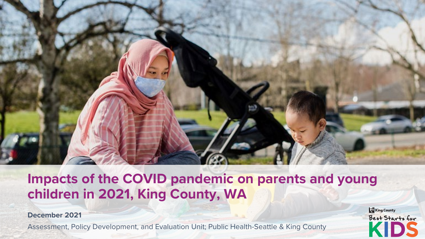

## **Impacts of the COVID pandemic on parents and young children in 2021, King County, WA**

**December 2021**

Assessment, Policy Development, and Evaluation Unit; Public Health-Seattle & King County 1

King County Best Starts for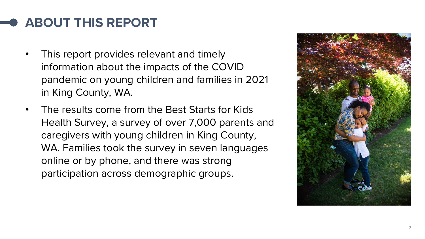## **ABOUT THIS REPORT**

- This report provides relevant and timely information about the impacts of the COVID pandemic on young children and families in 2021 in King County, WA.
- The results come from the Best Starts for Kids Health Survey, a survey of over 7,000 parents and caregivers with young children in King County, WA. Families took the survey in seven languages online or by phone, and there was strong participation across demographic groups.

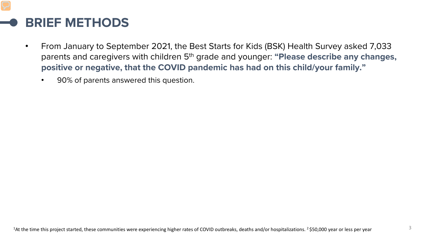#### **BRIEF METHODS**

- From January to September 2021, the Best Starts for Kids (BSK) Health Survey asked 7,033 parents and caregivers with children 5<sup>th</sup> grade and younger: "Please describe any changes, **positive or negative, that the COVID pandemic has had on this child/your family."**
	- 90% of parents answered this question.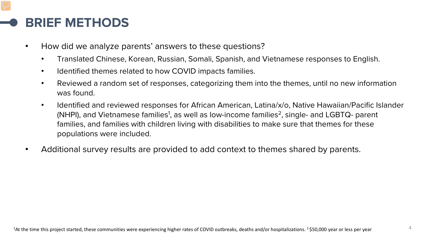#### **BRIEF METHODS**

- How did we analyze parents' answers to these questions?
	- Translated Chinese, Korean, Russian, Somali, Spanish, and Vietnamese responses to English.
	- Identified themes related to how COVID impacts families.
	- Reviewed a random set of responses, categorizing them into the themes, until no new information was found.
	- Identified and reviewed responses for African American, Latina/x/o, Native Hawaiian/Pacific Islander (NHPI), and Vietnamese families $^1$ , as well as low-income families $^2$ , single- and LGBTQ- parent families, and families with children living with disabilities to make sure that themes for these populations were included.
- Additional survey results are provided to add context to themes shared by parents.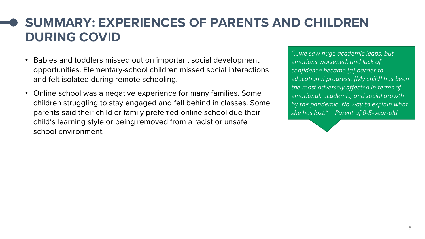### **SUMMARY: EXPERIENCES OF PARENTS AND CHILDREN DURING COVID**

- Babies and toddlers missed out on important social development opportunities. Elementary-school children missed social interactions and felt isolated during remote schooling.
- Online school was a negative experience for many families. Some children struggling to stay engaged and fell behind in classes. Some parents said their child or family preferred online school due their child's learning style or being removed from a racist or unsafe school environment.

*"…we saw huge academic leaps, but emotions worsened, and lack of confidence became [a] barrier to educational progress. [My child] has been the most adversely affected in terms of emotional, academic, and social growth by the pandemic. No way to explain what she has lost." – Parent of 0-5-year-old*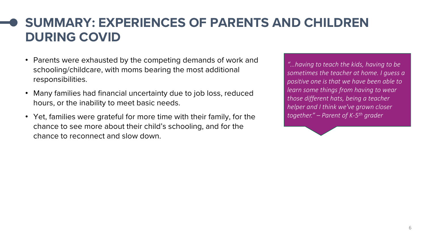### **SUMMARY: EXPERIENCES OF PARENTS AND CHILDREN DURING COVID**

- Parents were exhausted by the competing demands of work and schooling/childcare, with moms bearing the most additional responsibilities.
- Many families had financial uncertainty due to job loss, reduced hours, or the inability to meet basic needs.
- Yet, families were grateful for more time with their family, for the chance to see more about their child's schooling, and for the chance to reconnect and slow down.

*"…having to teach the kids, having to be sometimes the teacher at home. I guess a positive one is that we have been able to learn some things from having to wear those different hats, being a teacher helper and I think we've grown closer together." – Parent of K-5th grader*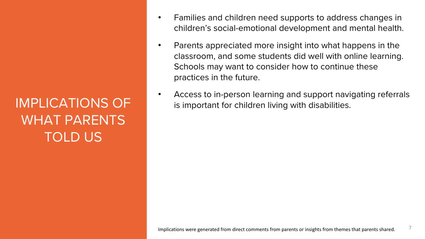# IMPLICATIONS OF WHAT PARENTS TOLD US

- Families and children need supports to address changes in children's social-emotional development and mental health.
- Parents appreciated more insight into what happens in the classroom, and some students did well with online learning. Schools may want to consider how to continue these practices in the future.
- Access to in-person learning and support navigating referrals is important for children living with disabilities.